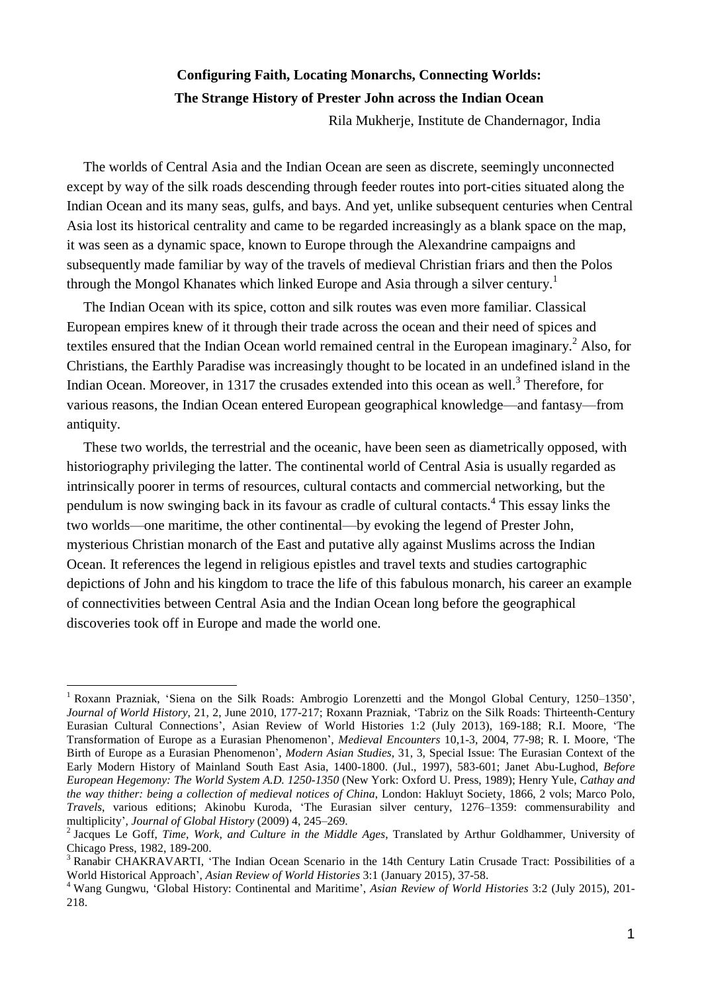# **Configuring Faith, Locating Monarchs, Connecting Worlds: The Strange History of Prester John across the Indian Ocean**

Rila Mukherje, Institute de Chandernagor, India

The worlds of Central Asia and the Indian Ocean are seen as discrete, seemingly unconnected except by way of the silk roads descending through feeder routes into port-cities situated along the Indian Ocean and its many seas, gulfs, and bays. And yet, unlike subsequent centuries when Central Asia lost its historical centrality and came to be regarded increasingly as a blank space on the map, it was seen as a dynamic space, known to Europe through the Alexandrine campaigns and subsequently made familiar by way of the travels of medieval Christian friars and then the Polos through the Mongol Khanates which linked Europe and Asia through a silver century.<sup>1</sup>

The Indian Ocean with its spice, cotton and silk routes was even more familiar. Classical European empires knew of it through their trade across the ocean and their need of spices and textiles ensured that the Indian Ocean world remained central in the European imaginary.<sup>2</sup> Also, for Christians, the Earthly Paradise was increasingly thought to be located in an undefined island in the Indian Ocean. Moreover, in 1317 the crusades extended into this ocean as well.<sup>3</sup> Therefore, for various reasons, the Indian Ocean entered European geographical knowledge—and fantasy—from antiquity.

These two worlds, the terrestrial and the oceanic, have been seen as diametrically opposed, with historiography privileging the latter. The continental world of Central Asia is usually regarded as intrinsically poorer in terms of resources, cultural contacts and commercial networking, but the pendulum is now swinging back in its favour as cradle of cultural contacts. 4 This essay links the two worlds—one maritime, the other continental—by evoking the legend of Prester John, mysterious Christian monarch of the East and putative ally against Muslims across the Indian Ocean. It references the legend in religious epistles and travel texts and studies cartographic depictions of John and his kingdom to trace the life of this fabulous monarch, his career an example of connectivities between Central Asia and the Indian Ocean long before the geographical discoveries took off in Europe and made the world one.

<sup>&</sup>lt;sup>1</sup> Roxann Prazniak, 'Siena on the Silk Roads: Ambrogio Lorenzetti and the Mongol Global Century, 1250-1350', *Journal of World History*, 21, 2, June 2010, 177-217; Roxann Prazniak, 'Tabriz on the Silk Roads: Thirteenth-Century Eurasian Cultural Connections', Asian Review of World Histories 1:2 (July 2013), 169-188; R.I. Moore, 'The Transformation of Europe as a Eurasian Phenomenon', *Medieval Encounters* 10,1-3, 2004, 77-98; R. I. Moore, 'The Birth of Europe as a Eurasian Phenomenon', *Modern Asian Studies*, 31, 3, Special Issue: The Eurasian Context of the Early Modern History of Mainland South East Asia, 1400-1800. (Jul., 1997), 583-601; Janet Abu-Lughod, *Before European Hegemony: The World System A.D. 1250-1350* (New York: Oxford U. Press, 1989); Henry Yule, *Cathay and the way thither: being a collection of medieval notices of China*, London: Hakluyt Society, 1866, 2 vols; Marco Polo, *Travels*, various editions; Akinobu Kuroda, 'The Eurasian silver century, 1276–1359: commensurability and multiplicity', *Journal of Global History* (2009) 4, 245–269.

<sup>2</sup> Jacques Le Goff, *Time, Work, and Culture in the Middle Ages*, Translated by Arthur Goldhammer, University of Chicago Press, 1982, 189-200.

<sup>3</sup> Ranabir CHAKRAVARTI, 'The Indian Ocean Scenario in the 14th Century Latin Crusade Tract: Possibilities of a World Historical Approach', *Asian Review of World Histories* 3:1 (January 2015), 37-58.

<sup>4</sup> Wang Gungwu, 'Global History: Continental and Maritime', *Asian Review of World Histories* 3:2 (July 2015), 201- 218.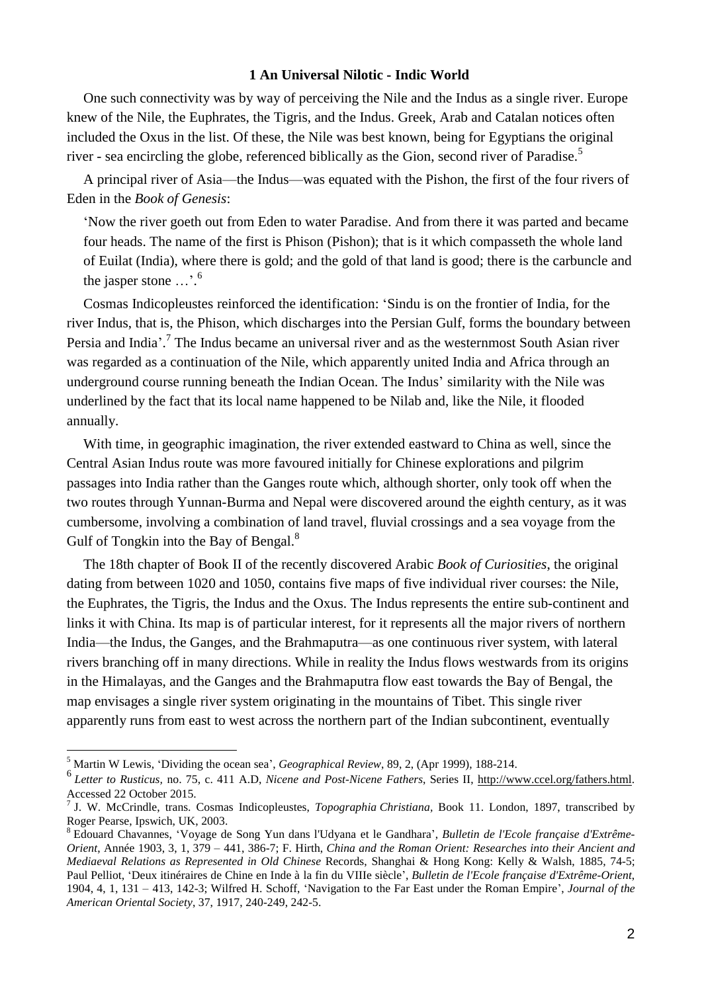# **1 An Universal Nilotic - Indic World**

One such connectivity was by way of perceiving the Nile and the Indus as a single river. Europe knew of the Nile, the Euphrates, the Tigris, and the Indus. Greek, Arab and Catalan notices often included the Oxus in the list. Of these, the Nile was best known, being for Egyptians the original river - sea encircling the globe, referenced biblically as the Gion, second river of Paradise.<sup>5</sup>

A principal river of Asia—the Indus—was equated with the Pishon, the first of the four rivers of Eden in the *Book of Genesis*:

'Now the river goeth out from Eden to water Paradise. And from there it was parted and became four heads. The name of the first is Phison (Pishon); that is it which compasseth the whole land of Euilat (India), where there is gold; and the gold of that land is good; there is the carbuncle and the jasper stone ...'.<sup>6</sup>

Cosmas Indicopleustes reinforced the identification: 'Sindu is on the frontier of India, for the river Indus, that is, the Phison, which discharges into the Persian Gulf, forms the boundary between Persia and India<sup>'</sup>.<sup>7</sup> The Indus became an universal river and as the westernmost South Asian river was regarded as a continuation of the Nile, which apparently united India and Africa through an underground course running beneath the Indian Ocean. The Indus' similarity with the Nile was underlined by the fact that its local name happened to be Nilab and, like the Nile, it flooded annually.

With time, in geographic imagination, the river extended eastward to China as well, since the Central Asian Indus route was more favoured initially for Chinese explorations and pilgrim passages into India rather than the Ganges route which, although shorter, only took off when the two routes through Yunnan-Burma and Nepal were discovered around the eighth century, as it was cumbersome, involving a combination of land travel, fluvial crossings and a sea voyage from the Gulf of Tongkin into the Bay of Bengal.<sup>8</sup>

The 18th chapter of Book II of the recently discovered Arabic *Book of Curiosities*, the original dating from between 1020 and 1050, contains five maps of five individual river courses: the Nile, the Euphrates, the Tigris, the Indus and the Oxus. The Indus represents the entire sub-continent and links it with China. Its map is of particular interest, for it represents all the major rivers of northern India—the Indus, the Ganges, and the Brahmaputra—as one continuous river system, with lateral rivers branching off in many directions. While in reality the Indus flows westwards from its origins in the Himalayas, and the Ganges and the Brahmaputra flow east towards the Bay of Bengal, the map envisages a single river system originating in the mountains of Tibet. This single river apparently runs from east to west across the northern part of the Indian subcontinent, eventually

<sup>5</sup> Martin W Lewis, 'Dividing the ocean sea', *Geographical Review*, 89, 2, (Apr 1999), 188-214.

<sup>6</sup> *Letter to Rusticus,* no. 75, c. 411 A.D, *Nicene and Post-Nicene Fathers*, Series II, [http://www.ccel.org/fathers.html.](http://www.ccel.org/fathers.html) Accessed 22 October 2015.

<sup>7</sup> J. W. McCrindle, trans. Cosmas Indicopleustes, *Topographia Christiana,* Book 11. London, 1897, transcribed by Roger Pearse, Ipswich, UK, 2003.

<sup>8</sup> Edouard Chavannes, 'Voyage de Song Yun dans l'Udyana et le Gandhara', *Bulletin de l'Ecole française d'Extrême-Orient*, Année 1903, 3, 1, 379 – 441, 386-7; F. Hirth, *China and the Roman Orient: Researches into their Ancient and Mediaeval Relations as Represented in Old Chinese* Records, Shanghai & Hong Kong: Kelly & Walsh, 1885, 74-5; Paul Pelliot, 'Deux itinéraires de Chine en Inde à la fin du VIIIe siècle', *Bulletin de l'Ecole française d'Extrême-Orient*, 1904, 4, 1, 131 – 413, 142-3; Wilfred H. Schoff, 'Navigation to the Far East under the Roman Empire', *Journal of the American Oriental Society*, 37, 1917, 240-249, 242-5.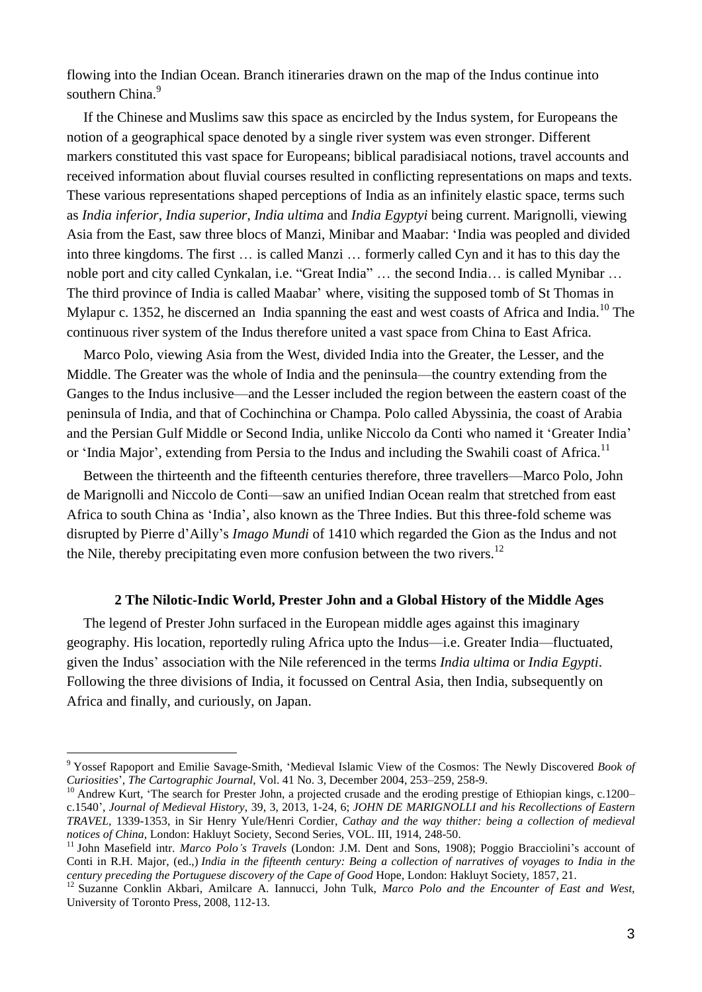flowing into the Indian Ocean. Branch itineraries drawn on the map of the Indus continue into southern China.<sup>9</sup>

If the Chinese and Muslims saw this space as encircled by the Indus system, for Europeans the notion of a geographical space denoted by a single river system was even stronger. Different markers constituted this vast space for Europeans; biblical paradisiacal notions, travel accounts and received information about fluvial courses resulted in conflicting representations on maps and texts. These various representations shaped perceptions of India as an infinitely elastic space, terms such as *India inferior*, *India superior*, *India ultima* and *India Egyptyi* being current. Marignolli, viewing Asia from the East, saw three blocs of Manzi, Minibar and Maabar: 'India was peopled and divided into three kingdoms. The first … is called Manzi … formerly called Cyn and it has to this day the noble port and city called Cynkalan, i.e. "Great India" … the second India… is called Mynibar … The third province of India is called Maabar' where, visiting the supposed tomb of St Thomas in Mylapur c. 1352, he discerned an India spanning the east and west coasts of Africa and India.<sup>10</sup> The continuous river system of the Indus therefore united a vast space from China to East Africa.

Marco Polo, viewing Asia from the West, divided India into the Greater, the Lesser, and the Middle. The Greater was the whole of India and the peninsula—the country extending from the Ganges to the Indus inclusive—and the Lesser included the region between the eastern coast of the peninsula of India, and that of Cochinchina or Champa. Polo called Abyssinia, the coast of Arabia and the Persian Gulf Middle or Second India, unlike Niccolo da Conti who named it 'Greater India' or 'India Major', extending from Persia to the Indus and including the Swahili coast of Africa.<sup>11</sup>

Between the thirteenth and the fifteenth centuries therefore, three travellers—Marco Polo, John de Marignolli and Niccolo de Conti—saw an unified Indian Ocean realm that stretched from east Africa to south China as 'India', also known as the Three Indies. But this three-fold scheme was disrupted by Pierre d'Ailly's *Imago Mundi* of 1410 which regarded the Gion as the Indus and not the Nile, thereby precipitating even more confusion between the two rivers.<sup>12</sup>

## **2 The Nilotic-Indic World, Prester John and a Global History of the Middle Ages**

The legend of Prester John surfaced in the European middle ages against this imaginary geography. His location, reportedly ruling Africa upto the Indus—i.e. Greater India—fluctuated, given the Indus' association with the Nile referenced in the terms *India ultima* or *India Egypti*. Following the three divisions of India, it focussed on Central Asia, then India, subsequently on Africa and finally, and curiously, on Japan.

<sup>9</sup> Yossef Rapoport and Emilie Savage-Smith, 'Medieval Islamic View of the Cosmos: The Newly Discovered *Book of Curiosities*', *The Cartographic Journal*, Vol. 41 No. 3, December 2004, 253–259, 258-9.

<sup>&</sup>lt;sup>10</sup> Andrew Kurt, 'The search for Prester John, a projected crusade and the eroding prestige of Ethiopian kings, c.1200– c.1540', *Journal of Medieval History*, 39, 3, 2013, 1-24, 6; *JOHN DE MARIGNOLLI and his Recollections of Eastern TRAVEL*, 1339-1353, in Sir Henry Yule/Henri Cordier, *Cathay and the way thither: being a collection of medieval notices of China*, London: Hakluyt Society, Second Series, VOL. III, 1914, 248-50.

<sup>11</sup> John Masefield intr. *Marco Polo's Travels* (London: J.M. Dent and Sons, 1908); Poggio Bracciolini's account of Conti in R.H. Major, (ed.,) India in the fifteenth century: Being a collection of narratives of voyages to India in the *century preceding the Portuguese discovery of the Cape of Good* Hope, London: Hakluyt Society, 1857, 21.

<sup>12</sup> Suzanne Conklin Akbari, Amilcare A. Iannucci, John Tulk, *Marco Polo and the Encounter of East and West*, University of Toronto Press, 2008, 112-13.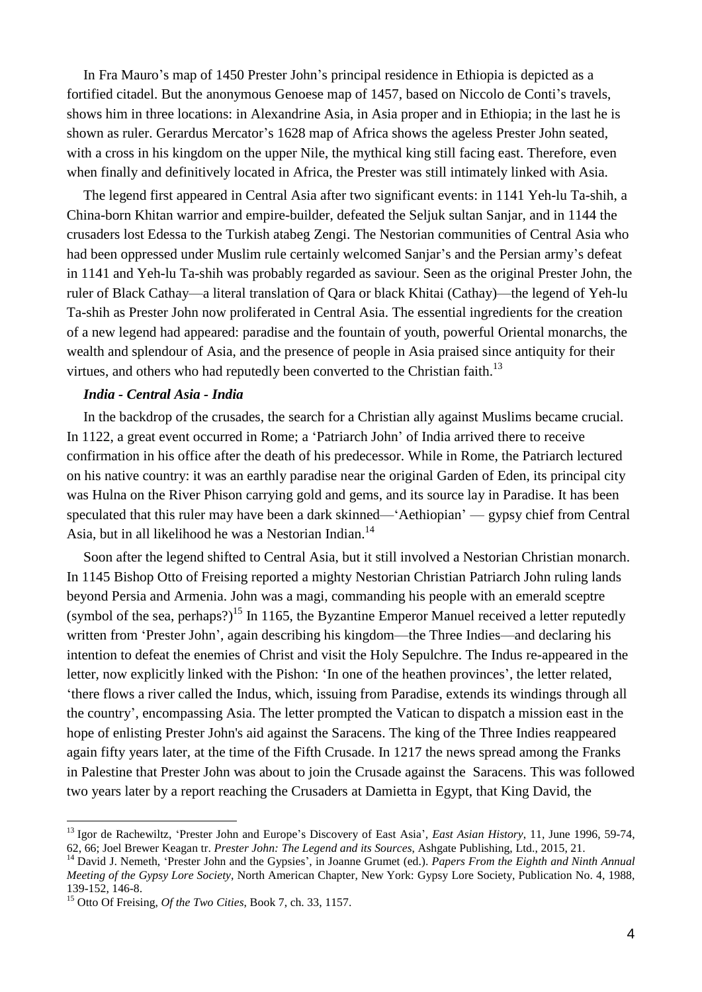In Fra Mauro's map of 1450 Prester John's principal residence in Ethiopia is depicted as a fortified citadel. But the anonymous Genoese map of 1457, based on Niccolo de Conti's travels, shows him in three locations: in Alexandrine Asia, in Asia proper and in Ethiopia; in the last he is shown as ruler. Gerardus Mercator's 1628 map of Africa shows the ageless Prester John seated, with a cross in his kingdom on the upper Nile, the mythical king still facing east. Therefore, even when finally and definitively located in Africa, the Prester was still intimately linked with Asia.

The legend first appeared in Central Asia after two significant events: in 1141 Yeh-lu Ta-shih, a China-born Khitan warrior and empire-builder, defeated the Seljuk sultan Sanjar, and in 1144 the crusaders lost Edessa to the Turkish atabeg Zengi. The Nestorian communities of Central Asia who had been oppressed under Muslim rule certainly welcomed Sanjar's and the Persian army's defeat in 1141 and Yeh-lu Ta-shih was probably regarded as saviour. Seen as the original Prester John, the ruler of Black Cathay—a literal translation of Qara or black Khitai (Cathay)—the legend of Yeh-lu Ta-shih as Prester John now proliferated in Central Asia. The essential ingredients for the creation of a new legend had appeared: paradise and the fountain of youth, powerful Oriental monarchs, the wealth and splendour of Asia, and the presence of people in Asia praised since antiquity for their virtues, and others who had reputedly been converted to the Christian faith.<sup>13</sup>

## *India - Central Asia - India*

In the backdrop of the crusades, the search for a Christian ally against Muslims became crucial. In 1122, a great event occurred in Rome; a 'Patriarch John' of India arrived there to receive confirmation in his office after the death of his predecessor. While in Rome, the Patriarch lectured on his native country: it was an earthly paradise near the original Garden of Eden, its principal city was Hulna on the River Phison carrying gold and gems, and its source lay in Paradise. It has been speculated that this ruler may have been a dark skinned—'Aethiopian' — gypsy chief from Central Asia, but in all likelihood he was a Nestorian Indian.<sup>14</sup>

Soon after the legend shifted to Central Asia, but it still involved a Nestorian Christian monarch. In 1145 Bishop Otto of Freising reported a mighty Nestorian Christian Patriarch John ruling lands beyond Persia and Armenia. John was a magi, commanding his people with an emerald sceptre (symbol of the sea, perhaps?)<sup>15</sup> In 1165, the Byzantine Emperor Manuel received a letter reputedly written from 'Prester John', again describing his kingdom—the Three Indies—and declaring his intention to defeat the enemies of Christ and visit the Holy Sepulchre. The Indus re-appeared in the letter, now explicitly linked with the Pishon: 'In one of the heathen provinces', the letter related, 'there flows a river called the Indus, which, issuing from Paradise, extends its windings through all the country', encompassing Asia. The letter prompted the Vatican to dispatch a mission east in the hope of enlisting Prester John's aid against the Saracens. The king of the Three Indies reappeared again fifty years later, at the time of the Fifth Crusade. In 1217 the news spread among the Franks in Palestine that Prester John was about to join the Crusade against the Saracens. This was followed two years later by a report reaching the Crusaders at Damietta in Egypt, that King David, the

<sup>13</sup> Igor de Rachewiltz, 'Prester John and Europe's Discovery of East Asia', *East Asian History*, 11, June 1996, 59-74, 62, 66; Joel Brewer Keagan tr. *Prester John: The Legend and its Sources*, Ashgate Publishing, Ltd., 2015, 21.

<sup>14</sup> David J. Nemeth, 'Prester John and the Gypsies', in Joanne Grumet (ed.). *Papers From the Eighth and Ninth Annual Meeting of the Gypsy Lore Society*, North American Chapter, New York: Gypsy Lore Society, Publication No. 4, 1988, 139-152, 146-8.

<sup>15</sup> Otto Of Freising, *Of the Two Cities*, Book 7, ch. 33, 1157.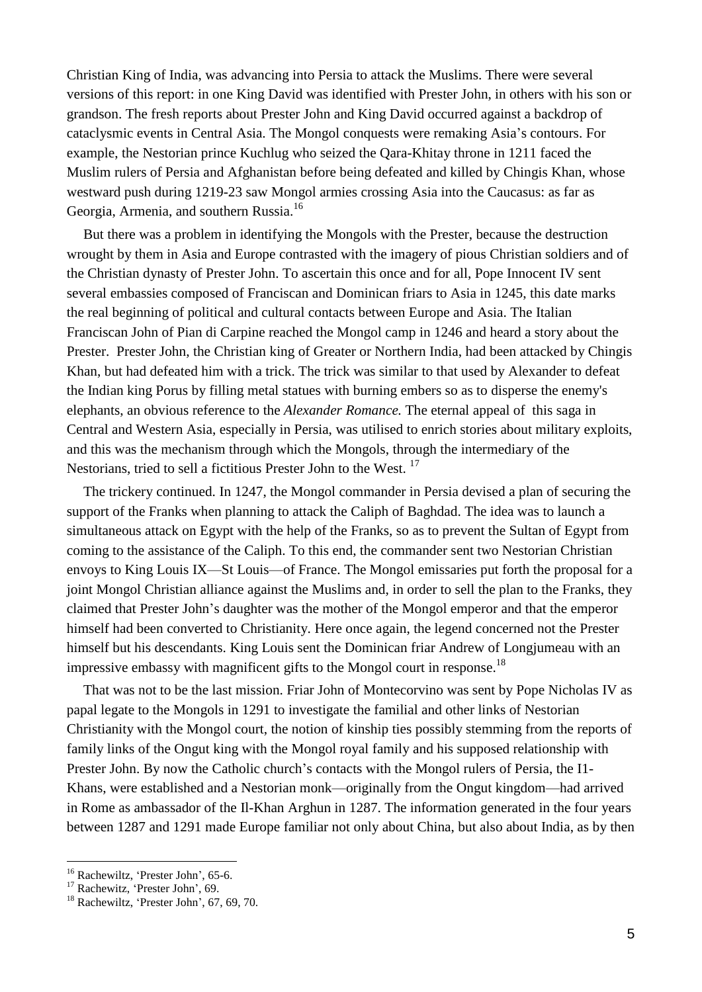Christian King of India, was advancing into Persia to attack the Muslims. There were several versions of this report: in one King David was identified with Prester John, in others with his son or grandson. The fresh reports about Prester John and King David occurred against a backdrop of cataclysmic events in Central Asia. The Mongol conquests were remaking Asia's contours. For example, the Nestorian prince Kuchlug who seized the Qara-Khitay throne in 1211 faced the Muslim rulers of Persia and Afghanistan before being defeated and killed by Chingis Khan, whose westward push during 1219-23 saw Mongol armies crossing Asia into the Caucasus: as far as Georgia, Armenia, and southern Russia.<sup>16</sup>

But there was a problem in identifying the Mongols with the Prester, because the destruction wrought by them in Asia and Europe contrasted with the imagery of pious Christian soldiers and of the Christian dynasty of Prester John. To ascertain this once and for all, Pope Innocent IV sent several embassies composed of Franciscan and Dominican friars to Asia in 1245, this date marks the real beginning of political and cultural contacts between Europe and Asia. The Italian Franciscan John of Pian di Carpine reached the Mongol camp in 1246 and heard a story about the Prester. Prester John, the Christian king of Greater or Northern India, had been attacked by Chingis Khan, but had defeated him with a trick. The trick was similar to that used by Alexander to defeat the Indian king Porus by filling metal statues with burning embers so as to disperse the enemy's elephants, an obvious reference to the *Alexander Romance.* The eternal appeal of this saga in Central and Western Asia, especially in Persia, was utilised to enrich stories about military exploits, and this was the mechanism through which the Mongols, through the intermediary of the Nestorians, tried to sell a fictitious Prester John to the West.<sup>17</sup>

The trickery continued. In 1247, the Mongol commander in Persia devised a plan of securing the support of the Franks when planning to attack the Caliph of Baghdad. The idea was to launch a simultaneous attack on Egypt with the help of the Franks, so as to prevent the Sultan of Egypt from coming to the assistance of the Caliph. To this end, the commander sent two Nestorian Christian envoys to King Louis IX—St Louis—of France. The Mongol emissaries put forth the proposal for a joint Mongol Christian alliance against the Muslims and, in order to sell the plan to the Franks, they claimed that Prester John's daughter was the mother of the Mongol emperor and that the emperor himself had been converted to Christianity. Here once again, the legend concerned not the Prester himself but his descendants. King Louis sent the Dominican friar Andrew of Longjumeau with an impressive embassy with magnificent gifts to the Mongol court in response.<sup>18</sup>

That was not to be the last mission. Friar John of Montecorvino was sent by Pope Nicholas IV as papal legate to the Mongols in 1291 to investigate the familial and other links of Nestorian Christianity with the Mongol court, the notion of kinship ties possibly stemming from the reports of family links of the Ongut king with the Mongol royal family and his supposed relationship with Prester John. By now the Catholic church's contacts with the Mongol rulers of Persia, the I1- Khans, were established and a Nestorian monk—originally from the Ongut kingdom—had arrived in Rome as ambassador of the Il-Khan Arghun in 1287. The information generated in the four years between 1287 and 1291 made Europe familiar not only about China, but also about India, as by then

<sup>1</sup> <sup>16</sup> Rachewiltz, 'Prester John', 65-6.

<sup>&</sup>lt;sup>17</sup> Rachewitz, 'Prester John', 69.

<sup>&</sup>lt;sup>18</sup> Rachewiltz, 'Prester John', 67, 69, 70.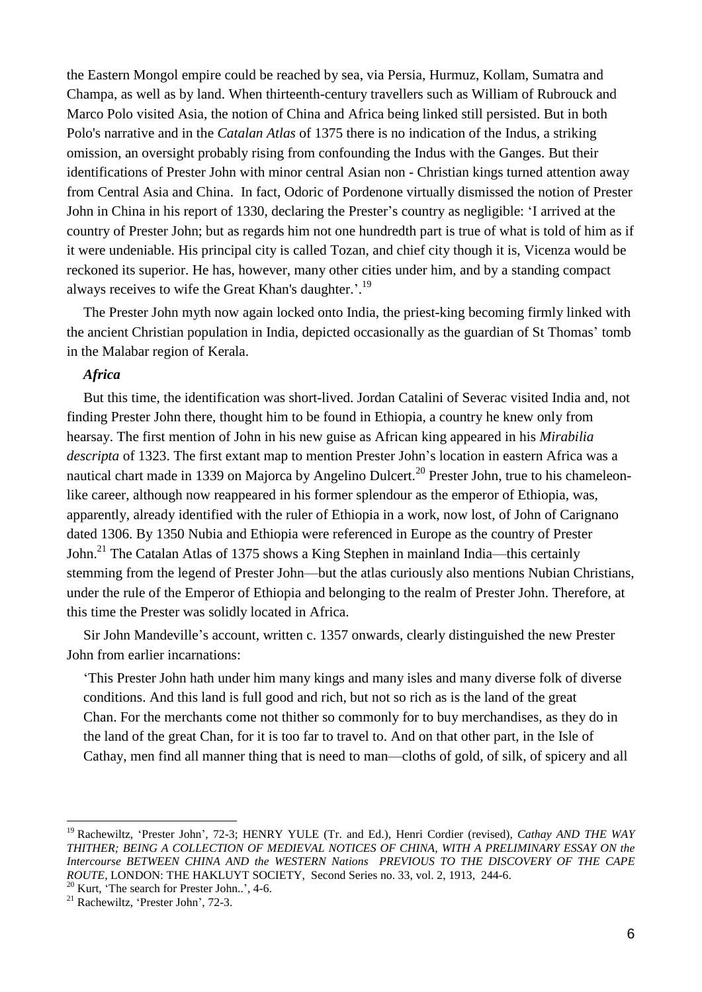the Eastern Mongol empire could be reached by sea, via Persia, Hurmuz, Kollam, Sumatra and Champa, as well as by land. When thirteenth-century travellers such as William of Rubrouck and Marco Polo visited Asia, the notion of China and Africa being linked still persisted. But in both Polo's narrative and in the *Catalan Atlas* of 1375 there is no indication of the Indus, a striking omission, an oversight probably rising from confounding the Indus with the Ganges. But their identifications of Prester John with minor central Asian non - Christian kings turned attention away from Central Asia and China. In fact, Odoric of Pordenone virtually dismissed the notion of Prester John in China in his report of 1330, declaring the Prester's country as negligible: 'I arrived at the country of Prester John; but as regards him not one hundredth part is true of what is told of him as if it were undeniable. His principal city is called Tozan, and chief city though it is, Vicenza would be reckoned its superior. He has, however, many other cities under him, and by a standing compact always receives to wife the Great Khan's daughter.'.<sup>19</sup>

The Prester John myth now again locked onto India, the priest-king becoming firmly linked with the ancient Christian population in India, depicted occasionally as the guardian of St Thomas' tomb in the Malabar region of Kerala.

# *Africa*

But this time, the identification was short-lived. Jordan Catalini of Severac visited India and, not finding Prester John there, thought him to be found in Ethiopia, a country he knew only from hearsay. The first mention of John in his new guise as African king appeared in his *Mirabilia descripta* of 1323. The first extant map to mention Prester John's location in eastern Africa was a nautical chart made in 1339 on Majorca by Angelino Dulcert.<sup>20</sup> Prester John, true to his chameleonlike career, although now reappeared in his former splendour as the emperor of Ethiopia, was, apparently, already identified with the ruler of Ethiopia in a work, now lost, of John of Carignano dated 1306. By 1350 Nubia and Ethiopia were referenced in Europe as the country of Prester John.<sup>21</sup> The Catalan Atlas of 1375 shows a King Stephen in mainland India—this certainly stemming from the legend of Prester John—but the atlas curiously also mentions Nubian Christians, under the rule of the Emperor of Ethiopia and belonging to the realm of Prester John. Therefore, at this time the Prester was solidly located in Africa.

Sir John Mandeville's account, written c. 1357 onwards, clearly distinguished the new Prester John from earlier incarnations:

'This Prester John hath under him many kings and many isles and many diverse folk of diverse conditions. And this land is full good and rich, but not so rich as is the land of the great Chan. For the merchants come not thither so commonly for to buy merchandises, as they do in the land of the great Chan, for it is too far to travel to. And on that other part, in the Isle of Cathay, men find all manner thing that is need to man—cloths of gold, of silk, of spicery and all

<sup>19</sup> Rachewiltz, 'Prester John', 72-3; HENRY YULE (Tr. and Ed.), Henri Cordier (revised), *Cathay AND THE WAY THITHER; BEING A COLLECTION OF MEDIEVAL NOTICES OF CHINA, WITH A PRELIMINARY ESSAY ON the Intercourse BETWEEN CHINA AND the WESTERN Nations PREVIOUS TO THE DISCOVERY OF THE CAPE ROUTE*, LONDON: THE HAKLUYT SOCIETY, Second Series no. 33, vol. 2, 1913, 244-6.

 $20$  Kurt, 'The search for Prester John..', 4-6.

<sup>21</sup> Rachewiltz, 'Prester John', 72-3.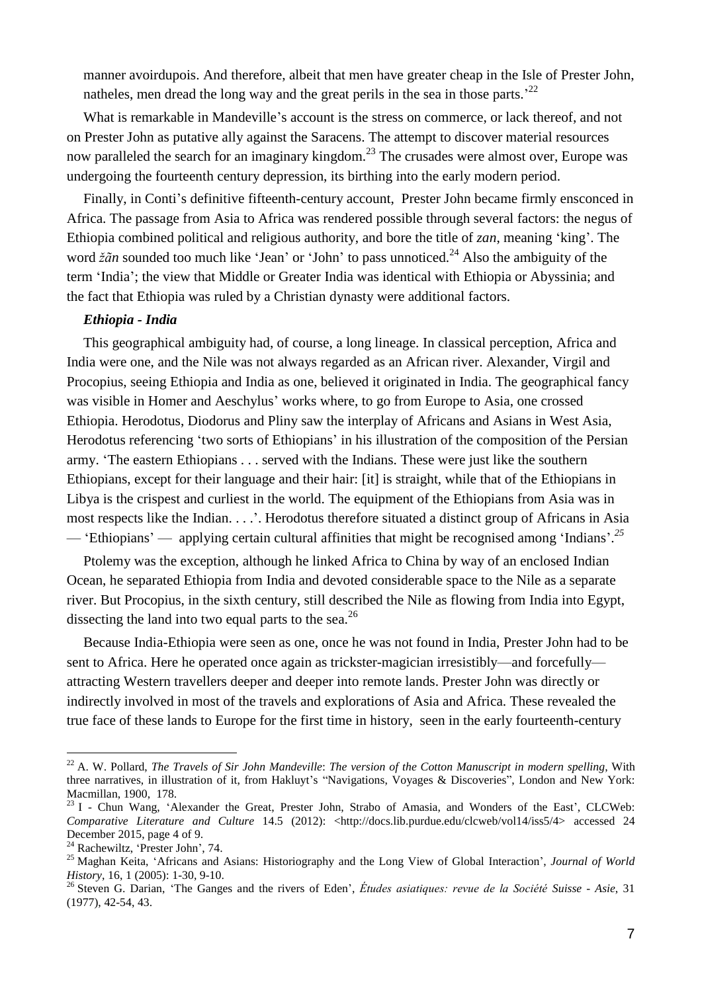manner avoirdupois. And therefore, albeit that men have greater cheap in the Isle of Prester John, natheles, men dread the long way and the great perils in the sea in those parts.<sup>22</sup>

What is remarkable in Mandeville's account is the stress on commerce, or lack thereof, and not on Prester John as putative ally against the Saracens. The attempt to discover material resources now paralleled the search for an imaginary kingdom.<sup>23</sup> The crusades were almost over, Europe was undergoing the fourteenth century depression, its birthing into the early modern period.

Finally, in Conti's definitive fifteenth-century account, Prester John became firmly ensconced in Africa. The passage from Asia to Africa was rendered possible through several factors: the negus of Ethiopia combined political and religious authority, and bore the title of *zan*, meaning 'king'. The word  $\check{z}$ *an* sounded too much like 'Jean' or 'John' to pass unnoticed.<sup>24</sup> Also the ambiguity of the term 'India'; the view that Middle or Greater India was identical with Ethiopia or Abyssinia; and the fact that Ethiopia was ruled by a Christian dynasty were additional factors.

### *Ethiopia - India*

This geographical ambiguity had, of course, a long lineage. In classical perception, Africa and India were one, and the Nile was not always regarded as an African river. Alexander, Virgil and Procopius, seeing Ethiopia and India as one, believed it originated in India. The geographical fancy was visible in Homer and Aeschylus' works where, to go from Europe to Asia, one crossed Ethiopia. Herodotus, Diodorus and Pliny saw the interplay of Africans and Asians in West Asia, Herodotus referencing 'two sorts of Ethiopians' in his illustration of the composition of the Persian army. 'The eastern Ethiopians . . . served with the Indians. These were just like the southern Ethiopians, except for their language and their hair: [it] is straight, while that of the Ethiopians in Libya is the crispest and curliest in the world. The equipment of the Ethiopians from Asia was in most respects like the Indian. . . .'. Herodotus therefore situated a distinct group of Africans in Asia — 'Ethiopians' — applying certain cultural affinities that might be recognised among 'Indians'. *25*

Ptolemy was the exception, although he linked Africa to China by way of an enclosed Indian Ocean, he separated Ethiopia from India and devoted considerable space to the Nile as a separate river. But Procopius, in the sixth century, still described the Nile as flowing from India into Egypt, dissecting the land into two equal parts to the sea.<sup>26</sup>

Because India-Ethiopia were seen as one, once he was not found in India, Prester John had to be sent to Africa. Here he operated once again as trickster-magician irresistibly—and forcefully attracting Western travellers deeper and deeper into remote lands. Prester John was directly or indirectly involved in most of the travels and explorations of Asia and Africa. These revealed the true face of these lands to Europe for the first time in history, seen in the early fourteenth-century

<sup>22</sup> A. W. Pollard, *The Travels of Sir John Mandeville*: *The version of the Cotton Manuscript in modern spelling*, With three narratives, in illustration of it, from Hakluyt's "Navigations, Voyages & Discoveries", London and New York: Macmillan, 1900, 178.

<sup>&</sup>lt;sup>23</sup> I - Chun Wang, 'Alexander the Great, Prester John, Strabo of Amasia, and Wonders of the East', CLCWeb: *Comparative Literature and Culture* 14.5 (2012): <http://docs.lib.purdue.edu/clcweb/vol14/iss5/4> accessed 24 December 2015, page 4 of 9.

<sup>&</sup>lt;sup>24</sup> Rachewiltz, 'Prester John', 74.

<sup>25</sup> Maghan Keita, 'Africans and Asians: Historiography and the Long View of Global Interaction', *Journal of World History*, 16, 1 (2005): 1-30, 9-10.

<sup>26</sup> Steven G. Darian, 'The Ganges and the rivers of Eden', *Études asiatiques: revue de la Société Suisse - Asie*, 31 (1977), 42-54, 43.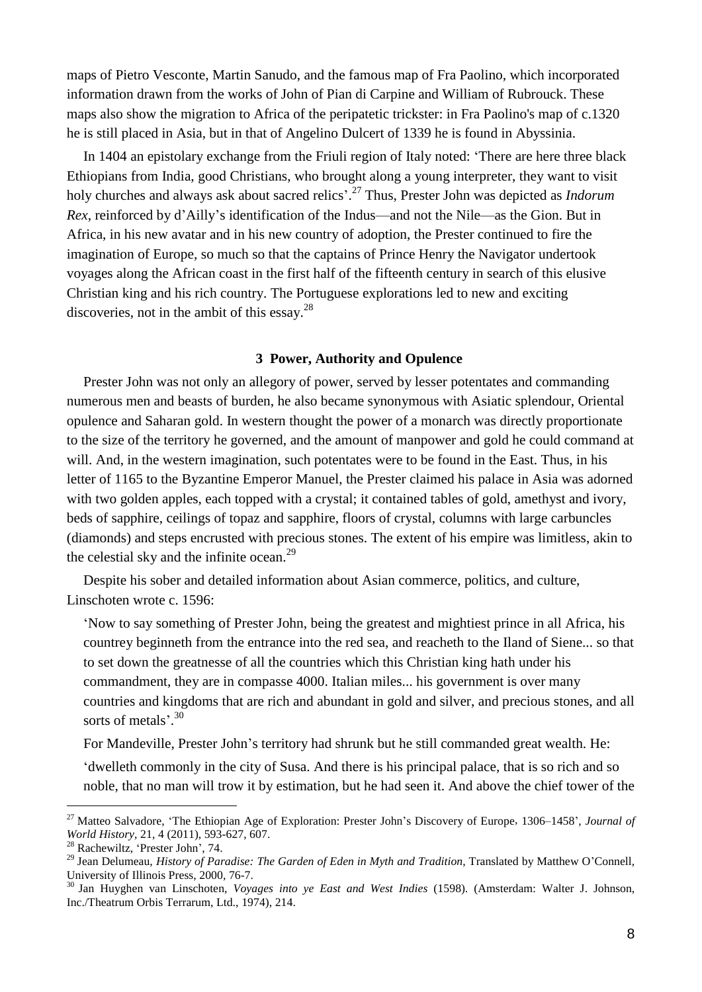maps of Pietro Vesconte, Martin Sanudo, and the famous map of Fra Paolino, which incorporated information drawn from the works of John of Pian di Carpine and William of Rubrouck. These maps also show the migration to Africa of the peripatetic trickster: in Fra Paolino's map of c.1320 he is still placed in Asia, but in that of Angelino Dulcert of 1339 he is found in Abyssinia.

In 1404 an epistolary exchange from the Friuli region of Italy noted: 'There are here three black Ethiopians from India, good Christians, who brought along a young interpreter, they want to visit holy churches and always ask about sacred relics'. <sup>27</sup> Thus, Prester John was depicted as *Indorum Rex*, reinforced by d'Ailly's identification of the Indus—and not the Nile—as the Gion. But in Africa, in his new avatar and in his new country of adoption, the Prester continued to fire the imagination of Europe, so much so that the captains of Prince Henry the Navigator undertook voyages along the African coast in the first half of the fifteenth century in search of this elusive Christian king and his rich country. The Portuguese explorations led to new and exciting discoveries, not in the ambit of this essay.<sup>28</sup>

#### **3 Power, Authority and Opulence**

Prester John was not only an allegory of power, served by lesser potentates and commanding numerous men and beasts of burden, he also became synonymous with Asiatic splendour, Oriental opulence and Saharan gold. In western thought the power of a monarch was directly proportionate to the size of the territory he governed, and the amount of manpower and gold he could command at will. And, in the western imagination, such potentates were to be found in the East. Thus, in his letter of 1165 to the Byzantine Emperor Manuel, the Prester claimed his palace in Asia was adorned with two golden apples, each topped with a crystal; it contained tables of gold, amethyst and ivory, beds of sapphire, ceilings of topaz and sapphire, floors of crystal, columns with large carbuncles (diamonds) and steps encrusted with precious stones. The extent of his empire was limitless, akin to the celestial sky and the infinite ocean.<sup>29</sup>

Despite his sober and detailed information about Asian commerce, politics, and culture, Linschoten wrote c. 1596:

'Now to say something of Prester John, being the greatest and mightiest prince in all Africa, his countrey beginneth from the entrance into the red sea, and reacheth to the Iland of Siene... so that to set down the greatnesse of all the countries which this Christian king hath under his commandment, they are in compasse 4000. Italian miles... his government is over many countries and kingdoms that are rich and abundant in gold and silver, and precious stones, and all sorts of metals'.<sup>30</sup>

For Mandeville, Prester John's territory had shrunk but he still commanded great wealth. He:

'dwelleth commonly in the city of Susa. And there is his principal palace, that is so rich and so noble, that no man will trow it by estimation, but he had seen it. And above the chief tower of the

<sup>27</sup> Matteo Salvadore, 'The Ethiopian Age of Exploration: Prester John's Discovery of Europe, 1306–1458', *Journal of World History*, 21, 4 (2011), 593-627, 607.

<sup>28</sup> Rachewiltz, 'Prester John', 74.

<sup>29</sup> Jean Delumeau, *History of Paradise: The Garden of Eden in Myth and Tradition*, Translated by Matthew O'Connell, University of Illinois Press, 2000, 76-7.

<sup>30</sup> Jan Huyghen van Linschoten, *Voyages into ye East and West Indies* (1598). (Amsterdam: Walter J. Johnson, Inc./Theatrum Orbis Terrarum, Ltd., 1974), 214.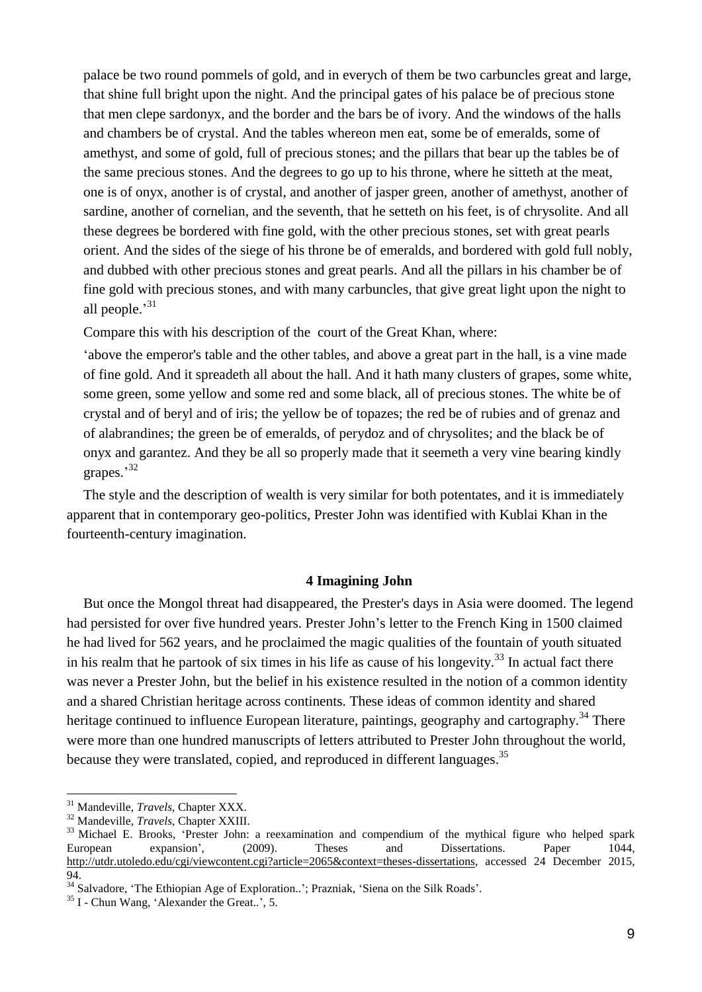palace be two round pommels of gold, and in everych of them be two carbuncles great and large, that shine full bright upon the night. And the principal gates of his palace be of precious stone that men clepe sardonyx, and the border and the bars be of ivory. And the windows of the halls and chambers be of crystal. And the tables whereon men eat, some be of emeralds, some of amethyst, and some of gold, full of precious stones; and the pillars that bear up the tables be of the same precious stones. And the degrees to go up to his throne, where he sitteth at the meat, one is of onyx, another is of crystal, and another of jasper green, another of amethyst, another of sardine, another of cornelian, and the seventh, that he setteth on his feet, is of chrysolite. And all these degrees be bordered with fine gold, with the other precious stones, set with great pearls orient. And the sides of the siege of his throne be of emeralds, and bordered with gold full nobly, and dubbed with other precious stones and great pearls. And all the pillars in his chamber be of fine gold with precious stones, and with many carbuncles, that give great light upon the night to all people.'<sup>31</sup>

Compare this with his description of the court of the Great Khan, where:

'above the emperor's table and the other tables, and above a great part in the hall, is a vine made of fine gold. And it spreadeth all about the hall. And it hath many clusters of grapes, some white, some green, some yellow and some red and some black, all of precious stones. The white be of crystal and of beryl and of iris; the yellow be of topazes; the red be of rubies and of grenaz and of alabrandines; the green be of emeralds, of perydoz and of chrysolites; and the black be of onyx and garantez. And they be all so properly made that it seemeth a very vine bearing kindly grapes.'<sup>32</sup>

The style and the description of wealth is very similar for both potentates, and it is immediately apparent that in contemporary geo-politics, Prester John was identified with Kublai Khan in the fourteenth-century imagination.

#### **4 Imagining John**

But once the Mongol threat had disappeared, the Prester's days in Asia were doomed. The legend had persisted for over five hundred years. Prester John's letter to the French King in 1500 claimed he had lived for 562 years, and he proclaimed the magic qualities of the fountain of youth situated in his realm that he partook of six times in his life as cause of his longevity.<sup>33</sup> In actual fact there was never a Prester John, but the belief in his existence resulted in the notion of a common identity and a shared Christian heritage across continents. These ideas of common identity and shared heritage continued to influence European literature, paintings, geography and cartography.<sup>34</sup> There were more than one hundred manuscripts of letters attributed to Prester John throughout the world, because they were translated, copied, and reproduced in different languages.<sup>35</sup>

<sup>31</sup> Mandeville, *Travels*, Chapter XXX.

<sup>32</sup> Mandeville, *Travels*, Chapter XXIII.

<sup>&</sup>lt;sup>33</sup> Michael E. Brooks, 'Prester John: a reexamination and compendium of the mythical figure who helped spark European expansion', (2009). Theses and Dissertations. Paper 1044, [http://utdr.utoledo.edu/cgi/viewcontent.cgi?article=2065&context=theses-dissertations,](http://utdr.utoledo.edu/cgi/viewcontent.cgi?article=2065&context=theses-dissertations) accessed 24 December 2015, 94.

<sup>&</sup>lt;sup>34</sup> Salvadore, 'The Ethiopian Age of Exploration..': Prazniak, 'Siena on the Silk Roads'.

<sup>&</sup>lt;sup>35</sup> I - Chun Wang, 'Alexander the Great..', 5.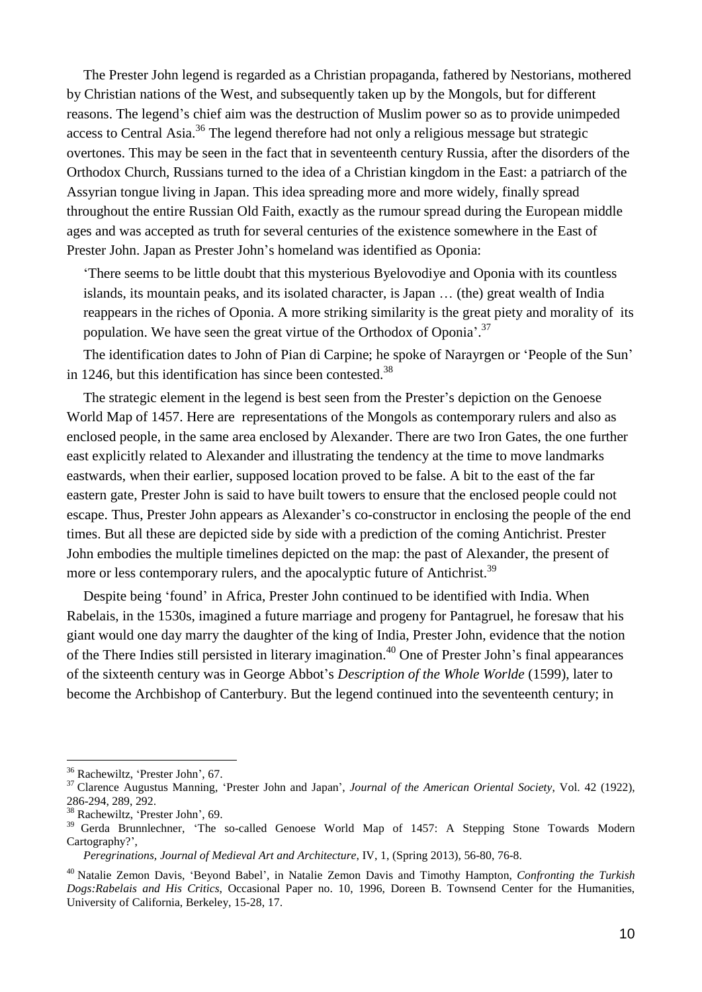The Prester John legend is regarded as a Christian propaganda, fathered by Nestorians, mothered by Christian nations of the West, and subsequently taken up by the Mongols, but for different reasons. The legend's chief aim was the destruction of Muslim power so as to provide unimpeded access to Central Asia.<sup>36</sup> The legend therefore had not only a religious message but strategic overtones. This may be seen in the fact that in seventeenth century Russia, after the disorders of the Orthodox Church, Russians turned to the idea of a Christian kingdom in the East: a patriarch of the Assyrian tongue living in Japan. This idea spreading more and more widely, finally spread throughout the entire Russian Old Faith, exactly as the rumour spread during the European middle ages and was accepted as truth for several centuries of the existence somewhere in the East of Prester John. Japan as Prester John's homeland was identified as Oponia:

'There seems to be little doubt that this mysterious Byelovodiye and Oponia with its countless islands, its mountain peaks, and its isolated character, is Japan … (the) great wealth of India reappears in the riches of Oponia. A more striking similarity is the great piety and morality of its population. We have seen the great virtue of the Orthodox of Oponia<sup>'.37</sup>

The identification dates to John of Pian di Carpine; he spoke of Narayrgen or 'People of the Sun' in 1246, but this identification has since been contested. $38$ 

The strategic element in the legend is best seen from the Prester's depiction on the Genoese World Map of 1457. Here are representations of the Mongols as contemporary rulers and also as enclosed people, in the same area enclosed by Alexander. There are two Iron Gates, the one further east explicitly related to Alexander and illustrating the tendency at the time to move landmarks eastwards, when their earlier, supposed location proved to be false. A bit to the east of the far eastern gate, Prester John is said to have built towers to ensure that the enclosed people could not escape. Thus, Prester John appears as Alexander's co-constructor in enclosing the people of the end times. But all these are depicted side by side with a prediction of the coming Antichrist. Prester John embodies the multiple timelines depicted on the map: the past of Alexander, the present of more or less contemporary rulers, and the apocalyptic future of Antichrist.<sup>39</sup>

Despite being 'found' in Africa, Prester John continued to be identified with India. When Rabelais, in the 1530s, imagined a future marriage and progeny for Pantagruel, he foresaw that his giant would one day marry the daughter of the king of India, Prester John, evidence that the notion of the There Indies still persisted in literary imagination.<sup>40</sup> One of Prester John's final appearances of the sixteenth century was in George Abbot's *Description of the Whole Worlde* (1599), later to become the Archbishop of Canterbury. But the legend continued into the seventeenth century; in

<sup>36</sup> Rachewiltz, 'Prester John', 67.

<sup>37</sup> Clarence Augustus Manning, 'Prester John and Japan', *Journal of the American Oriental Society*, Vol. 42 (1922), 286-294, 289, 292.

<sup>38</sup> Rachewiltz, 'Prester John', 69.

<sup>&</sup>lt;sup>39</sup> Gerda Brunnlechner, 'The so-called Genoese World Map of 1457: A Stepping Stone Towards Modern Cartography?',

*Peregrinations, Journal of Medieval Art and Architecture*, IV, 1, (Spring 2013), 56-80, 76-8.

<sup>40</sup> Natalie Zemon Davis, 'Beyond Babel', in Natalie Zemon Davis and Timothy Hampton, *Confronting the Turkish Dogs:Rabelais and His Critics*, Occasional Paper no. 10, 1996, Doreen B. Townsend Center for the Humanities, University of California, Berkeley, 15-28, 17.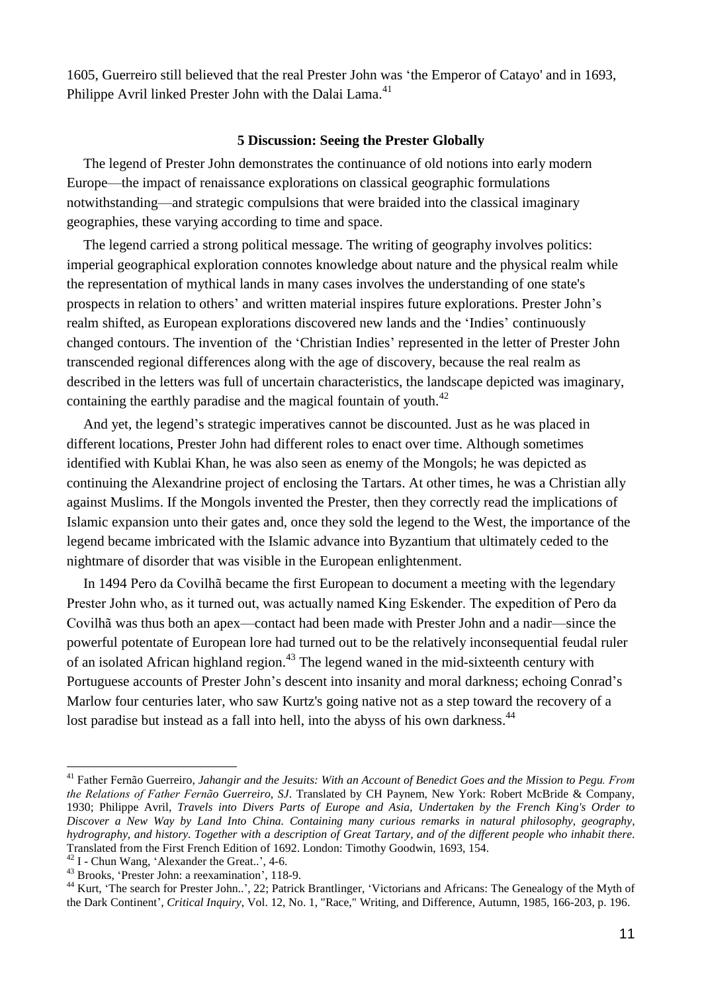1605, Guerreiro still believed that the real Prester John was 'the Emperor of Catayo' and in 1693, Philippe Avril linked Prester John with the Dalai Lama.<sup>41</sup>

#### **5 Discussion: Seeing the Prester Globally**

The legend of Prester John demonstrates the continuance of old notions into early modern Europe—the impact of renaissance explorations on classical geographic formulations notwithstanding—and strategic compulsions that were braided into the classical imaginary geographies, these varying according to time and space.

The legend carried a strong political message. The writing of geography involves politics: imperial geographical exploration connotes knowledge about nature and the physical realm while the representation of mythical lands in many cases involves the understanding of one state's prospects in relation to others' and written material inspires future explorations. Prester John's realm shifted, as European explorations discovered new lands and the 'Indies' continuously changed contours. The invention of the 'Christian Indies' represented in the letter of Prester John transcended regional differences along with the age of discovery, because the real realm as described in the letters was full of uncertain characteristics, the landscape depicted was imaginary, containing the earthly paradise and the magical fountain of youth.<sup>42</sup>

And yet, the legend's strategic imperatives cannot be discounted. Just as he was placed in different locations, Prester John had different roles to enact over time. Although sometimes identified with Kublai Khan, he was also seen as enemy of the Mongols; he was depicted as continuing the Alexandrine project of enclosing the Tartars. At other times, he was a Christian ally against Muslims. If the Mongols invented the Prester, then they correctly read the implications of Islamic expansion unto their gates and, once they sold the legend to the West, the importance of the legend became imbricated with the Islamic advance into Byzantium that ultimately ceded to the nightmare of disorder that was visible in the European enlightenment.

In 1494 Pero da Covilhã became the first European to document a meeting with the legendary Prester John who, as it turned out, was actually named King Eskender. The expedition of Pero da Covilhã was thus both an apex—contact had been made with Prester John and a nadir—since the powerful potentate of European lore had turned out to be the relatively inconsequential feudal ruler of an isolated African highland region.<sup>43</sup> The legend waned in the mid-sixteenth century with Portuguese accounts of Prester John's descent into insanity and moral darkness; echoing Conrad's Marlow four centuries later, who saw Kurtz's going native not as a step toward the recovery of a lost paradise but instead as a fall into hell, into the abyss of his own darkness.<sup>44</sup>

<sup>&</sup>lt;sup>41</sup> Father Fernão Guerreiro, Jahangir and the Jesuits: With an Account of Benedict Goes and the Mission to Pegu. From *the Relations of Father Fernão Guerreiro, SJ*. Translated by CH Paynem, New York: Robert McBride & Company, 1930; Philippe Avril, *Travels into Divers Parts of Europe and Asia, Undertaken by the French King's Order to Discover a New Way by Land Into China. Containing many curious remarks in natural philosophy, geography,* hydrography, and history. Together with a description of Great Tartary, and of the different people who inhabit there. Translated from the First French Edition of 1692. London: Timothy Goodwin, 1693, 154.

<sup>42</sup> I - Chun Wang, 'Alexander the Great..', 4-6.

<sup>43</sup> Brooks, 'Prester John: a reexamination', 118-9.

<sup>&</sup>lt;sup>44</sup> Kurt, 'The search for Prester John..', 22; Patrick Brantlinger, 'Victorians and Africans: The Genealogy of the Myth of the Dark Continent', *Critical Inquiry*, Vol. 12, No. 1, "Race," Writing, and Difference, Autumn, 1985, 166-203, p. 196.